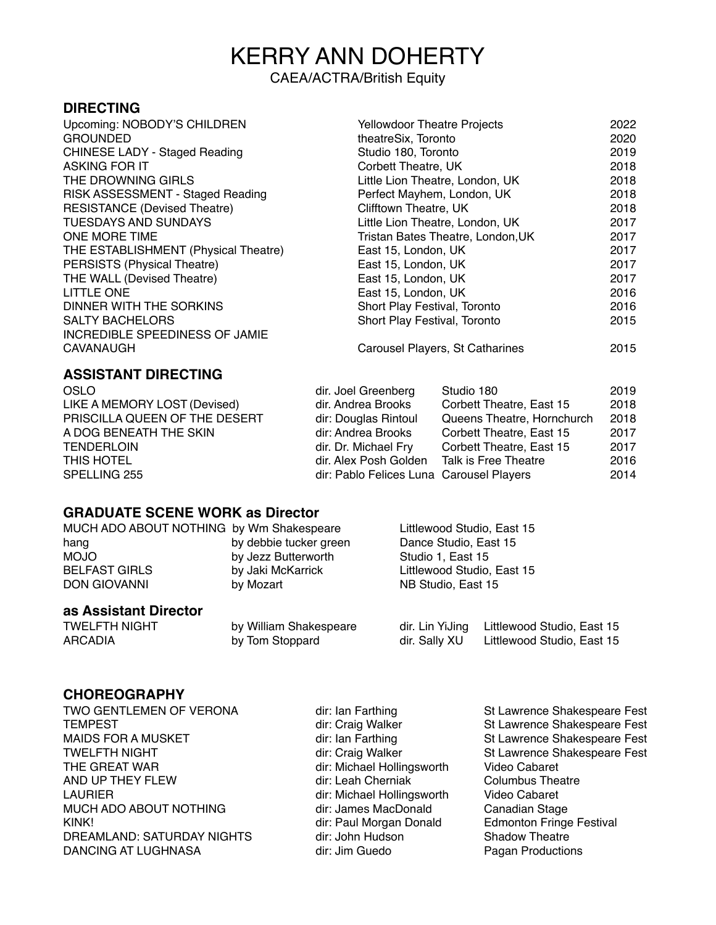# KERRY ANN DOHERTY

### CAEA/ACTRA/British Equity

### **DIRECTING**

| Upcoming: NOBODY'S CHILDREN          | <b>Yellowdoor Theatre Projects</b> | 2022 |
|--------------------------------------|------------------------------------|------|
| <b>GROUNDED</b>                      | theatreSix, Toronto                | 2020 |
| <b>CHINESE LADY - Staged Reading</b> | Studio 180, Toronto                | 2019 |
| <b>ASKING FOR IT</b>                 | Corbett Theatre, UK                | 2018 |
| THE DROWNING GIRLS                   | Little Lion Theatre, London, UK    | 2018 |
| RISK ASSESSMENT - Staged Reading     | Perfect Mayhem, London, UK         | 2018 |
| <b>RESISTANCE (Devised Theatre)</b>  | Clifftown Theatre, UK              | 2018 |
| <b>TUESDAYS AND SUNDAYS</b>          | Little Lion Theatre, London, UK    | 2017 |
| ONE MORE TIME                        | Tristan Bates Theatre, London, UK  | 2017 |
| THE ESTABLISHMENT (Physical Theatre) | East 15, London, UK                | 2017 |
| PERSISTS (Physical Theatre)          | East 15, London, UK                | 2017 |
| THE WALL (Devised Theatre)           | East 15, London, UK                | 2017 |
| <b>LITTLE ONE</b>                    | East 15, London, UK                | 2016 |
| DINNER WITH THE SORKINS              | Short Play Festival, Toronto       | 2016 |
| <b>SALTY BACHELORS</b>               | Short Play Festival, Toronto       | 2015 |
| INCREDIBLE SPEEDINESS OF JAMIE       |                                    |      |
| CAVANAUGH                            | Carousel Players, St Catharines    | 2015 |
|                                      |                                    |      |

### **ASSISTANT DIRECTING**

| OSLO                          | dir. Joel Greenberg                      | Studio 180                 | 2019 |
|-------------------------------|------------------------------------------|----------------------------|------|
| LIKE A MEMORY LOST (Devised)  | dir. Andrea Brooks                       | Corbett Theatre, East 15   | 2018 |
| PRISCILLA QUEEN OF THE DESERT | dir: Douglas Rintoul                     | Queens Theatre, Hornchurch | 2018 |
| A DOG BENEATH THE SKIN        | dir: Andrea Brooks                       | Corbett Theatre, East 15   | 2017 |
| <b>TENDERLOIN</b>             | dir. Dr. Michael Fry                     | Corbett Theatre, East 15   | 2017 |
| THIS HOTEL                    | dir. Alex Posh Golden                    | Talk is Free Theatre       | 2016 |
| SPELLING 255                  | dir: Pablo Felices Luna Carousel Players |                            | 2014 |

### **GRADUATE SCENE WORK as Director**

| MUCH ADO ABOUT NOTHING by Wm Shakespeare |                        | Littlewood Studio, East 15 |
|------------------------------------------|------------------------|----------------------------|
| hang                                     | by debbie tucker green | Dance Studio, East 15      |
| <b>MOJO</b>                              | by Jezz Butterworth    | Studio 1. East 15          |
| <b>BELFAST GIRLS</b>                     | by Jaki McKarrick      | Littlewood Studio, East 15 |
| <b>DON GIOVANNI</b>                      | by Mozart              | NB Studio, East 15         |
|                                          |                        |                            |

### **as Assistant Director**

| TWELFTH NIGHT | by William Shakespeare |               | dir. Lin YiJing Littlewood Studio, East 15 |
|---------------|------------------------|---------------|--------------------------------------------|
| ARCADIA       | by Tom Stoppard        | dir. Sally XU | Littlewood Studio, East 15                 |

### **CHOREOGRAPHY**

| TWO GENTLEMEN OF VERONA    |
|----------------------------|
| <b>TEMPEST</b>             |
| MAIDS FOR A MUSKET         |
| <b>TWELFTH NIGHT</b>       |
| THE GREAT WAR              |
| AND UP THEY FLEW           |
| LAURIER                    |
| MUCH ADO ABOUT NOTHING     |
| KINK!                      |
| DREAMLAND: SATURDAY NIGHTS |
| DANCING AT LUGHNASA        |

dir: Ian Farthing St Lawrence Shakespeare Fest dir: Michael Hollingsworth Video Cabaret<br>dir: Leah Cherniak Columbus Theatre dir: Leah Cherniak Columbus Theatr Columbus Theatre: Michael Hollingsworth Video Cabaret dir: Michael Hollingsworth Video Cabaret<br>dir: James MacDonald Canadian Stage dir: James MacDonald<br>dir: Paul Morgan Donald dir: John Hudson<br>dir: Jim Guedo

dir: Craig Walker St Lawrence Shakespeare Fest<br>dir: Ian Farthing St Lawrence Shakespeare Fest dir: Ian Farthing St Lawrence Shakespeare Fest<br>dir: Craig Walker St Lawrence Shakespeare Fest St Lawrence Shakespeare Fest<br>Video Cabaret Edmonton Fringe Festival<br>Shadow Theatre Pagan Productions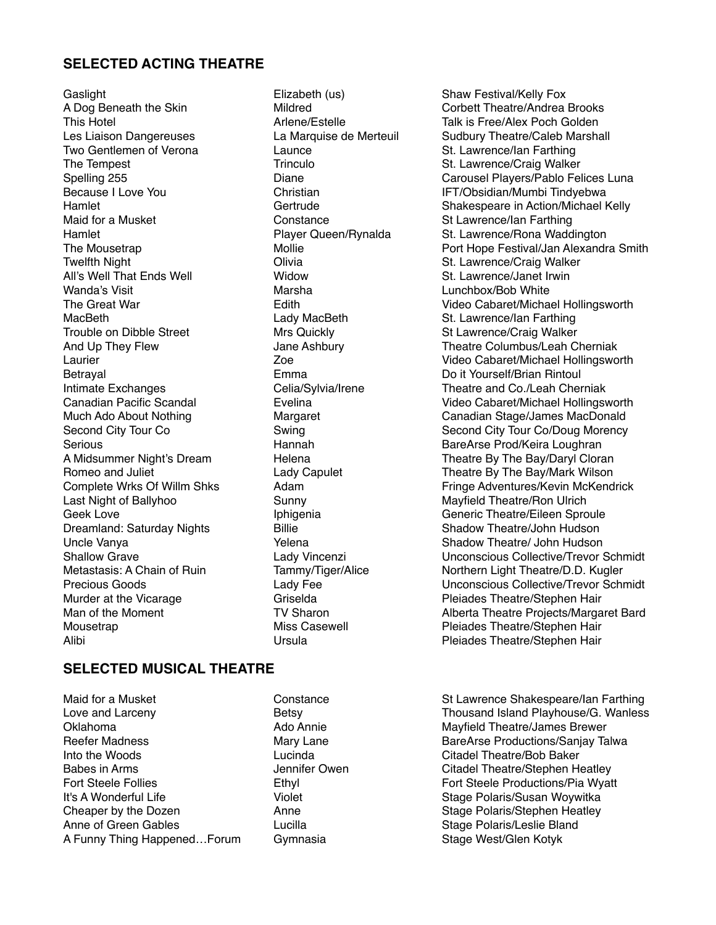### **SELECTED ACTING THEATRE**

Gaslight **Elizabeth (us)** Shaw Festival/Kelly Fox The Tempest Trinculo St. Lawrence/Craig Walker Twelfth Night **Transform Clivia** Clivia Children Children St. Lawrence/Craig Walker<br>All's Well That Fnds Well **St. Lawrence, Communist Children Children** St. Lawrence, Janet Irwin All's Well That Ends Well Wanda's Visit Marsha Lunchbox/Bob White MacBeth **Came Communist Communist Care Communist Communist Communist Communist Communist Communist Communist Co<br>
St Lawrence/Craig Walker Communist Communist Communist Communist Communist Communist Communist Communist Comm** Trouble on Dibble Street Mrs Quickly Mrs (St Lawrence/Craig Walker<br>And Up They Flew Jane Ashbury Theatre Columbus/Leah C Betrayal Emma Do it Yourself/Brian Rintoul Last Night of Ballyhoo Sunny Mayfield Theatre/Ron Ulrich Dreamland: Saturday Nights Alibi Ursula Pleiades Theatre/Stephen Hair

## A Dog Beneath the Skin **Mildred** Mildred Corbett Theatre/Andrea Brooks<br>
This Hotel Corbett Theatre/Corporation Corporation Corporation Corporation Corporation Arlene/Estelle Talk is Free/Alex Poch Golden Les Liaison Dangereuses La Marquise de Merteuil Sudbury Theatre/Caleb Marshall<br>
Two Gentlemen of Verona Launce Launce St. Lawrence/lan Farthing Launce St. Lawrence/Ian Farthing Spelling 255 **Diane** Diane Carousel Players/Pablo Felices Luna<br>Because I Love You **Christian** Christian Christian IFT/Obsidian/Mumbi Tindvebwa Christian **IFT/Obsidian/Mumbi Tindyebwa**<br>Gertrude **Internative Shakespeare in Action/Michael** Hamlet Gertrude Gertrude Shakespeare in Action/Michael Kelly<br>Maid for a Musket Constance St Lawrence/lan Farthing Constance St Lawrence/Ian Farthing Hamlet **Player Queen/Rynalda** St. Lawrence/Rona Waddington The Mousetrap **Mollie** Mollie **Port Hope Festival/Jan Alexandra Smith** Port Hope Festival/Jan Alexandra Smith Edith **The Great Contract Cabaret/Michael Hollingsworth** Theatre Columbus/Leah Cherniak Laurier Zoe Video Cabaret/Michael Hollingsworth Intimate Exchanges Celia/Sylvia/Irene Theatre and Co./Leah Cherniak Canadian Pacific Scandal Evelina Video Cabaret/Michael Hollingsworth Much Ado About Nothing Margaret Canadian Stage/James MacDonald<br>
Second City Tour Co<br>
Swing Canadian Stage/James MacDonald Second City Tour Co/Doug Morency Serious **Example 20** Serious Hannah BareArse Prod/Keira Loughran A Midsummer Night's Dream Helena Helena Theatre By The Bay/Daryl Cloran Romeo and Juliet **Lady Capulet** Lady Capulet Theatre By The Bay/Mark Wilson<br>Complete Wrks Of Willm Shks Adam Adam Complete Reserves Adventures/Kevin McKend Adam Fringe Adventures/Kevin McKendrick Geek Love **Iphigenia** Iphigenia Generic Theatre/Eileen Sproule<br>Dreamland: Saturdav Nights **Connect Connect Eileen** Shadow Theatre/John Hudson Uncle Vanya Network Charles Chemical Chemical Shadow Theatre/ John Hudson Shallow Grave **Lady Vincenzi** Lady Vincenzi Unconscious Collective/Trevor Schmidt<br>
Metastasis: A Chain of Ruin Tammy/Tiger/Alice **Northern Light Theatre/D.D. Kugler** Metastasis: A Chain of Ruin Tammy/Tiger/Alice Northern Light Theatre/D.D. Kugler<br>Precious Goods Collective/Trevor Schr Lady Fee **Netwitted Unconscious Collective/Trevor Schmidt**<br>Griselda Griselda Collective/Stephen Hair Murder at the Vicarage Theorem Griselda Controller at the Vicarage Griselda Controller Cheatre/Stephen Hair<br>
Man of the Moment Controller Controller Theatre Projects/Marga Man of the Moment TV Sharon TV Sharon Alberta Theatre Projects/Margaret Bard Mousetrap **Miss Casewell** Pleiades Theatre/Stephen Hair

### **SELECTED MUSICAL THEATRE**

Oklahoma Ado Annie Mayfield Theatre/James Brewer Into the Woods Lucinda Citadel Theatre/Bob Baker Babes in Arms **State Arms** Jennifer Owen Citadel Theatre/Stephen Heatley Fort Steele Follies **Ethyl** Ethyl **Example 20** Fort Steele Productions/Pia Wyatt It's A Wonderful Life **Stage Polaris/Susan Woywitka** Violet Stage Polaris/Susan Woywitka Cheaper by the Dozen **Anne** Anne Stage Polaris/Stephen Heatley Anne of Green Gables **Stage Polaris/Leslie Bland** Lucilla Stage Polaris/Leslie Bland A Funny Thing Happened...Forum Gymnasia Stage West/Glen Kotyk

Maid for a Musket **Constance** Constance Shakespeare/Ian Farthing Love and Larceny **Example 2** Betsy **Betsy** Thousand Island Playhouse/G. Wanless Reefer Madness **Mary Lane** Mary Lane BareArse Productions/Sanjay Talwa